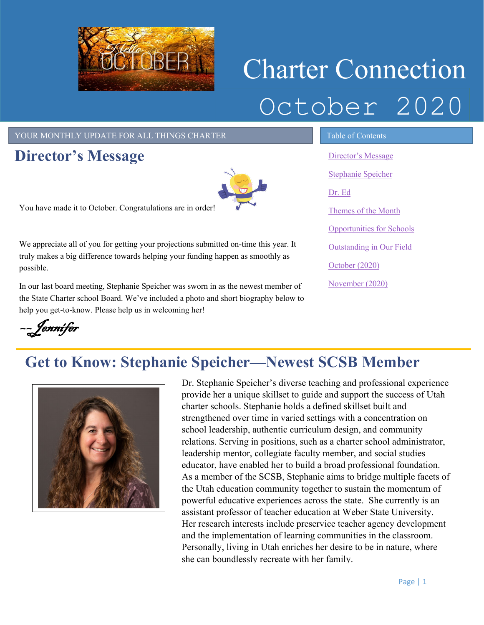

# Charter Connection October 2020

#### YOUR MONTHLY UPDATE FOR ALL THINGS CHARTER TABLE OF Contents

## <span id="page-0-0"></span>**Director's Message**



You have made it to October. Congratulations are in order!

We appreciate all of you for getting your projections submitted on-time this year. It truly makes a big difference towards helping your funding happen as smoothly as possible.

In our last board meeting, Stephanie Speicher was sworn in as the newest member of the State Charter school Board. We've included a photo and short biography below to help you get-to-know. Please help us in welcoming her!

[Director's Message](#page-0-0) [Stephanie Speicher](#page-0-1) [Dr. Ed](#page-1-0) Themes of the Month [Opportunities for Schools](#page-2-0)  [Outstanding in Our Field](#page-2-1) [October](#page-3-0) (2020) [November](#page-3-0) (2020)

# ––Jennifer

# <span id="page-0-1"></span>**Get to Know: Stephanie Speicher—Newest SCSB Member**



Dr. Stephanie Speicher's diverse teaching and professional experience provide her a unique skillset to guide and support the success of Utah charter schools. Stephanie holds a defined skillset built and strengthened over time in varied settings with a concentration on school leadership, authentic curriculum design, and community relations. Serving in positions, such as a charter school administrator, leadership mentor, collegiate faculty member, and social studies educator, have enabled her to build a broad professional foundation. As a member of the SCSB, Stephanie aims to bridge multiple facets of the Utah education community together to sustain the momentum of powerful educative experiences across the state. She currently is an assistant professor of teacher education at Weber State University. Her research interests include preservice teacher agency development and the implementation of learning communities in the classroom. Personally, living in Utah enriches her desire to be in nature, where she can boundlessly recreate with her family.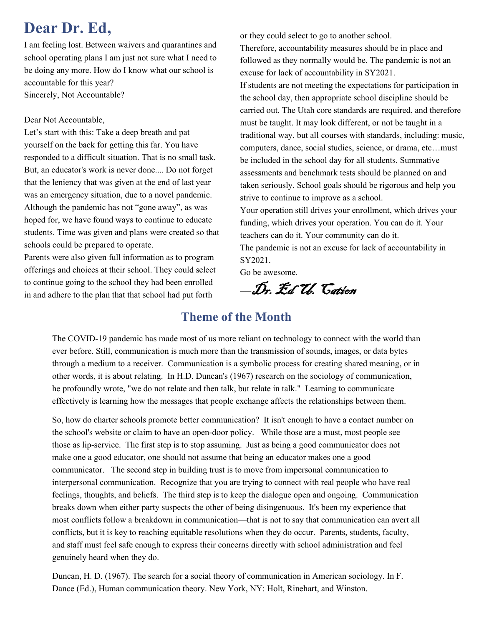# <span id="page-1-0"></span>**Dear Dr. Ed,**

I am feeling lost. Between waivers and quarantines and school operating plans I am just not sure what I need to be doing any more. How do I know what our school is accountable for this year? Sincerely, Not Accountable?

#### Dear Not Accountable,

Let's start with this: Take a deep breath and pat yourself on the back for getting this far. You have responded to a difficult situation. That is no small task. But, an educator's work is never done.... Do not forget that the leniency that was given at the end of last year was an emergency situation, due to a novel pandemic. Although the pandemic has not "gone away", as was hoped for, we have found ways to continue to educate students. Time was given and plans were created so that schools could be prepared to operate.

Parents were also given full information as to program offerings and choices at their school. They could select to continue going to the school they had been enrolled in and adhere to the plan that that school had put forth

or they could select to go to another school. Therefore, accountability measures should be in place and followed as they normally would be. The pandemic is not an excuse for lack of accountability in SY2021.

If students are not meeting the expectations for participation in the school day, then appropriate school discipline should be carried out. The Utah core standards are required, and therefore must be taught. It may look different, or not be taught in a traditional way, but all courses with standards, including: music, computers, dance, social studies, science, or drama, etc…must be included in the school day for all students. Summative assessments and benchmark tests should be planned on and taken seriously. School goals should be rigorous and help you strive to continue to improve as a school.

Your operation still drives your enrollment, which drives your funding, which drives your operation. You can do it. Your teachers can do it. Your community can do it.

The pandemic is not an excuse for lack of accountability in SY2021.

Go be awesome.

*––*Dr. Ed U. Cation

#### **Theme of the Month**

The COVID-19 pandemic has made most of us more reliant on technology to connect with the world than ever before. Still, communication is much more than the transmission of sounds, images, or data bytes through a medium to a receiver. Communication is a symbolic process for creating shared meaning, or in other words, it is about relating. In H.D. Duncan's (1967) research on the sociology of communication, he profoundly wrote, "we do not relate and then talk, but relate in talk." Learning to communicate effectively is learning how the messages that people exchange affects the relationships between them.

So, how do charter schools promote better communication? It isn't enough to have a contact number on the school's website or claim to have an open-door policy. While those are a must, most people see those as lip-service. The first step is to stop assuming. Just as being a good communicator does not make one a good educator, one should not assume that being an educator makes one a good communicator. The second step in building trust is to move from impersonal communication to interpersonal communication. Recognize that you are trying to connect with real people who have real feelings, thoughts, and beliefs. The third step is to keep the dialogue open and ongoing. Communication breaks down when either party suspects the other of being disingenuous. It's been my experience that most conflicts follow a breakdown in communication—that is not to say that communication can avert all conflicts, but it is key to reaching equitable resolutions when they do occur. Parents, students, faculty, and staff must feel safe enough to express their concerns directly with school administration and feel genuinely heard when they do.

Page | 2 Duncan, H. D. (1967). The search for a social theory of communication in American sociology. In F. Dance (Ed.), Human communication theory. New York, NY: Holt, Rinehart, and Winston.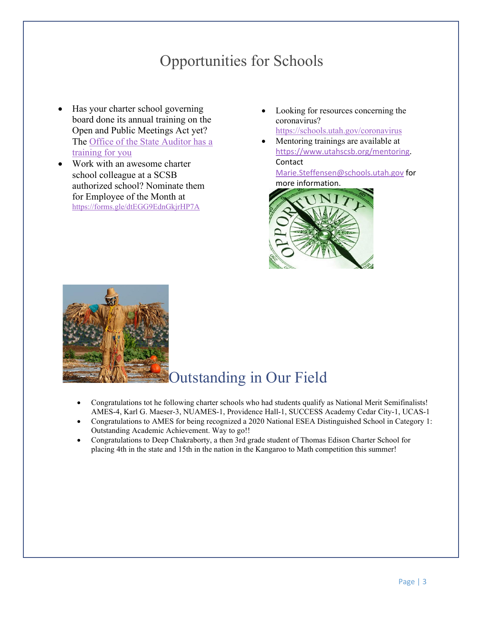# Opportunities for Schools

- <span id="page-2-0"></span>• Has your charter school governing board done its annual training on the Open and Public Meetings Act yet? The [Office of the State Auditor has a](http://training.auditor.utah.gov/courses/open-and-public-meetings-act-2019)  [training for you](http://training.auditor.utah.gov/courses/open-and-public-meetings-act-2019)
- Work with an awesome charter school colleague at a SCSB authorized school? Nominate them for Employee of the Month at <https://forms.gle/dtEGG9EdnGkjrHP7A>

Looking for resources concerning the coronavirus?

<https://schools.utah.gov/coronavirus>

• Mentoring trainings are available at [https://www.utahscsb.org/mentoring.](https://www.utahscsb.org/mentoring) Contact

[Marie.Steffensen@schools.utah.gov](mailto:Marie.Steffensen@schools.utah.gov) for more information.



<span id="page-2-1"></span>

## Outstanding in Our Field

- Congratulations tot he following charter schools who had students qualify as National Merit Semifinalists! AMES-4, Karl G. Maeser-3, NUAMES-1, Providence Hall-1, SUCCESS Academy Cedar City-1, UCAS-1
- Congratulations to AMES for being recognized a 2020 National ESEA Distinguished School in Category 1: Outstanding Academic Achievement. Way to go!!
- Congratulations to Deep Chakraborty, a then 3rd grade student of Thomas Edison Charter School for placing 4th in the state and 15th in the nation in the Kangaroo to Math competition this summer!